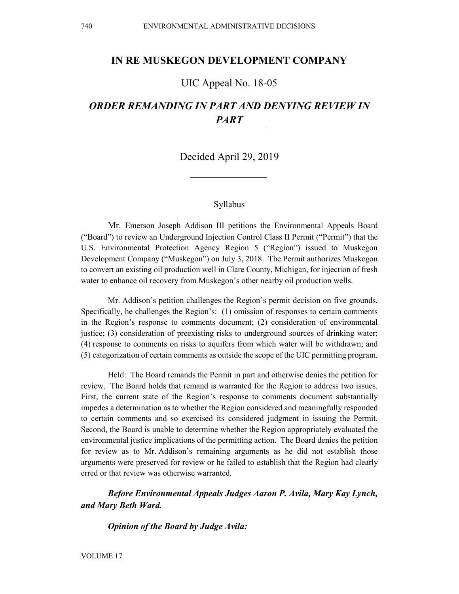# **IN RE MUSKEGON DEVELOPMENT COMPANY**

# UIC Appeal No. 18-05

# *ORDER REMANDING IN PART AND DENYING REVIEW IN PART*

Decided April 29, 2019

#### Syllabus

Mr. Emerson Joseph Addison III petitions the Environmental Appeals Board ("Board") to review an Underground Injection Control Class II Permit ("Permit") that the U.S. Environmental Protection Agency Region 5 ("Region") issued to Muskegon Development Company ("Muskegon") on July 3, 2018. The Permit authorizes Muskegon to convert an existing oil production well in Clare County, Michigan, for injection of fresh water to enhance oil recovery from Muskegon's other nearby oil production wells.

Mr. Addison's petition challenges the Region's permit decision on five grounds. Specifically, he challenges the Region's: (1) omission of responses to certain comments in the Region's response to comments document; (2) consideration of environmental justice; (3) consideration of preexisting risks to underground sources of drinking water; (4) response to comments on risks to aquifers from which water will be withdrawn; and (5) categorization of certain comments as outside the scope of the UIC permitting program.

Held: The Board remands the Permit in part and otherwise denies the petition for review. The Board holds that remand is warranted for the Region to address two issues. First, the current state of the Region's response to comments document substantially impedes a determination as to whether the Region considered and meaningfully responded to certain comments and so exercised its considered judgment in issuing the Permit. Second, the Board is unable to determine whether the Region appropriately evaluated the environmental justice implications of the permitting action. The Board denies the petition for review as to Mr. Addison's remaining arguments as he did not establish those arguments were preserved for review or he failed to establish that the Region had clearly erred or that review was otherwise warranted.

*Before Environmental Appeals Judges Aaron P. Avila, Mary Kay Lynch, and Mary Beth Ward.*

*Opinion of the Board by Judge Avila:*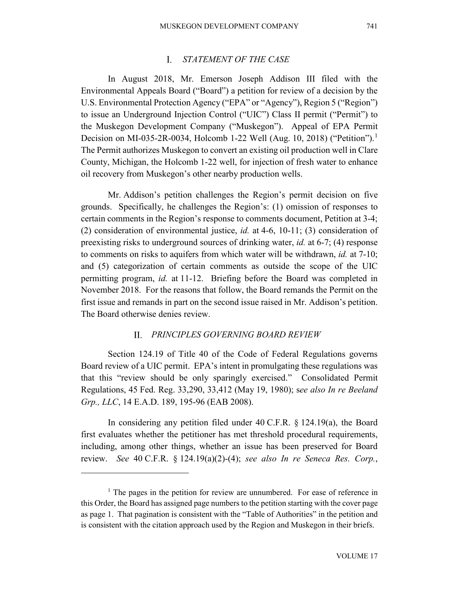#### $\mathbf{L}$ *STATEMENT OF THE CASE*

In August 2018, Mr. Emerson Joseph Addison III filed with the Environmental Appeals Board ("Board") a petition for review of a decision by the U.S. Environmental Protection Agency ("EPA" or "Agency"), Region 5 ("Region") to issue an Underground Injection Control ("UIC") Class II permit ("Permit") to the Muskegon Development Company ("Muskegon"). Appeal of EPA Permit Decision on MI-035-2R-0034, Holcomb [1](#page-1-0)-22 Well (Aug. 10, 2018) ("Petition").<sup>1</sup> The Permit authorizes Muskegon to convert an existing oil production well in Clare County, Michigan, the Holcomb 1-22 well, for injection of fresh water to enhance oil recovery from Muskegon's other nearby production wells.

Mr. Addison's petition challenges the Region's permit decision on five grounds. Specifically, he challenges the Region's: (1) omission of responses to certain comments in the Region's response to comments document, Petition at 3-4; (2) consideration of environmental justice, *id.* at 4-6, 10-11; (3) consideration of preexisting risks to underground sources of drinking water, *id.* at 6-7; (4) response to comments on risks to aquifers from which water will be withdrawn, *id.* at 7-10; and (5) categorization of certain comments as outside the scope of the UIC permitting program, *id.* at 11-12. Briefing before the Board was completed in November 2018. For the reasons that follow, the Board remands the Permit on the first issue and remands in part on the second issue raised in Mr. Addison's petition. The Board otherwise denies review.

#### *PRINCIPLES GOVERNING BOARD REVIEW*

Section 124.19 of Title 40 of the Code of Federal Regulations governs Board review of a UIC permit. EPA's intent in promulgating these regulations was that this "review should be only sparingly exercised." Consolidated Permit Regulations, 45 Fed. Reg. 33,290, 33,412 (May 19, 1980); s*ee also In re Beeland Grp., LLC*, 14 E.A.D. 189, 195-96 (EAB 2008).

In considering any petition filed under 40 C.F.R. § 124.19(a), the Board first evaluates whether the petitioner has met threshold procedural requirements, including, among other things, whether an issue has been preserved for Board review. *See* 40 C.F.R. § 124.19(a)(2)-(4); *see also In re Seneca Res. Corp.*,

<span id="page-1-0"></span><sup>&</sup>lt;sup>1</sup> The pages in the petition for review are unnumbered. For ease of reference in this Order, the Board has assigned page numbers to the petition starting with the cover page as page 1. That pagination is consistent with the "Table of Authorities" in the petition and is consistent with the citation approach used by the Region and Muskegon in their briefs.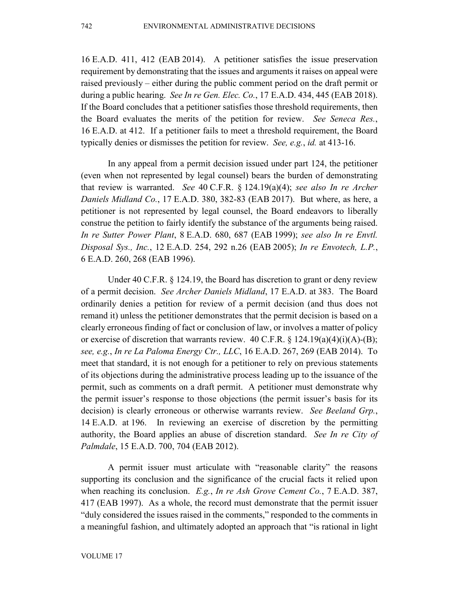16 E.A.D. 411, 412 (EAB 2014). A petitioner satisfies the issue preservation requirement by demonstrating that the issues and arguments it raises on appeal were raised previously – either during the public comment period on the draft permit or during a public hearing. *See In re Gen. Elec. Co.*, 17 E.A.D. 434, 445 (EAB 2018). If the Board concludes that a petitioner satisfies those threshold requirements, then the Board evaluates the merits of the petition for review. *See Seneca Res.*, 16 E.A.D. at 412. If a petitioner fails to meet a threshold requirement, the Board typically denies or dismisses the petition for review. *See, e.g.*, *id.* at 413-16.

In any appeal from a permit decision issued under part 124, the petitioner (even when not represented by legal counsel) bears the burden of demonstrating that review is warranted. *See* 40 C.F.R. § 124.19(a)(4); *see also In re Archer Daniels Midland Co.*, 17 E.A.D. 380, 382-83 (EAB 2017). But where, as here, a petitioner is not represented by legal counsel, the Board endeavors to liberally construe the petition to fairly identify the substance of the arguments being raised. *In re Sutter Power Plant*, 8 E.A.D. 680, 687 (EAB 1999); *see also In re Envtl. Disposal Sys., Inc.*, 12 E.A.D. 254, 292 n.26 (EAB 2005); *In re Envotech, L.P.*, 6 E.A.D. 260, 268 (EAB 1996).

Under 40 C.F.R. § 124.19, the Board has discretion to grant or deny review of a permit decision. *See Archer Daniels Midland*, 17 E.A.D. at 383. The Board ordinarily denies a petition for review of a permit decision (and thus does not remand it) unless the petitioner demonstrates that the permit decision is based on a clearly erroneous finding of fact or conclusion of law, or involves a matter of policy or exercise of discretion that warrants review.  $40$  C.F.R. §  $124.19(a)(4)(i)(A)-(B);$ *see, e.g.*, *In re La Paloma Energy Ctr., LLC*, 16 E.A.D. 267, 269 (EAB 2014). To meet that standard, it is not enough for a petitioner to rely on previous statements of its objections during the administrative process leading up to the issuance of the permit, such as comments on a draft permit. A petitioner must demonstrate why the permit issuer's response to those objections (the permit issuer's basis for its decision) is clearly erroneous or otherwise warrants review. *See Beeland Grp.*, 14 E.A.D. at 196. In reviewing an exercise of discretion by the permitting authority, the Board applies an abuse of discretion standard. *See In re City of Palmdale*, 15 E.A.D. 700, 704 (EAB 2012).

A permit issuer must articulate with "reasonable clarity" the reasons supporting its conclusion and the significance of the crucial facts it relied upon when reaching its conclusion. *E.g.*, *In re Ash Grove Cement Co.*, 7 E.A.D. 387, 417 (EAB 1997). As a whole, the record must demonstrate that the permit issuer "duly considered the issues raised in the comments," responded to the comments in a meaningful fashion, and ultimately adopted an approach that "is rational in light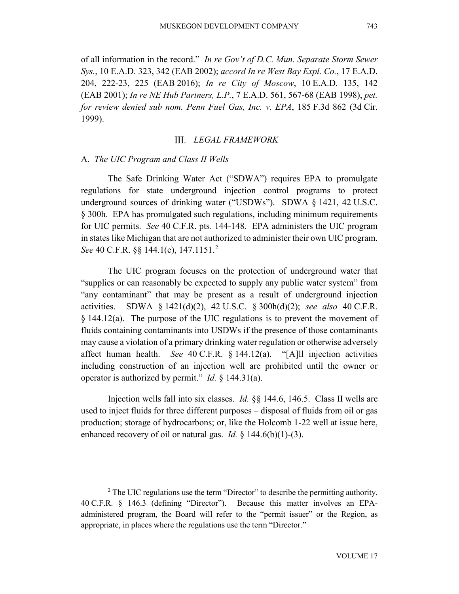of all information in the record." *In re Gov't of D.C. Mun. Separate Storm Sewer Sys.*, 10 E.A.D. 323, 342 (EAB 2002); *accord In re West Bay Expl. Co.*, 17 E.A.D. 204, 222-23, 225 (EAB 2016); *In re City of Moscow*, 10 E.A.D. 135, 142 (EAB 2001); *In re NE Hub Partners, L.P.*, 7 E.A.D. 561, 567-68 (EAB 1998), *pet. for review denied sub nom. Penn Fuel Gas, Inc. v. EPA*, 185 F.3d 862 (3d Cir. 1999).

### *LEGAL FRAMEWORK*

#### A. *The UIC Program and Class II Wells*

 $\overline{a}$ 

The Safe Drinking Water Act ("SDWA") requires EPA to promulgate regulations for state underground injection control programs to protect underground sources of drinking water ("USDWs"). SDWA § 1421, 42 U.S.C. § 300h. EPA has promulgated such regulations, including minimum requirements for UIC permits. *See* 40 C.F.R. pts. 144-148. EPA administers the UIC program in states like Michigan that are not authorized to administer their own UIC program. *See* 40 C.F.R. §§ 144.1(e), 147.1151.<sup>[2](#page-3-0)</sup>

The UIC program focuses on the protection of underground water that "supplies or can reasonably be expected to supply any public water system" from "any contaminant" that may be present as a result of underground injection activities. SDWA § 1421(d)(2), 42 U.S.C. § 300h(d)(2); *see also* 40 C.F.R.  $§$  144.12(a). The purpose of the UIC regulations is to prevent the movement of fluids containing contaminants into USDWs if the presence of those contaminants may cause a violation of a primary drinking water regulation or otherwise adversely affect human health. *See* 40 C.F.R. § 144.12(a). "[A]ll injection activities including construction of an injection well are prohibited until the owner or operator is authorized by permit." *Id.* § 144.31(a).

Injection wells fall into six classes. *Id.* §§ 144.6, 146.5. Class II wells are used to inject fluids for three different purposes – disposal of fluids from oil or gas production; storage of hydrocarbons; or, like the Holcomb 1-22 well at issue here, enhanced recovery of oil or natural gas. *Id.* § 144.6(b)(1)-(3).

<span id="page-3-0"></span><sup>&</sup>lt;sup>2</sup> The UIC regulations use the term "Director" to describe the permitting authority. 40 C.F.R. § 146.3 (defining "Director"). Because this matter involves an EPAadministered program, the Board will refer to the "permit issuer" or the Region, as appropriate, in places where the regulations use the term "Director."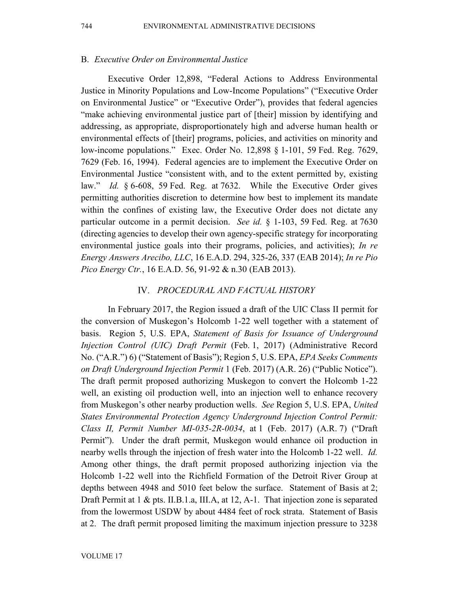### B. *Executive Order on Environmental Justice*

Executive Order 12,898, "Federal Actions to Address Environmental Justice in Minority Populations and Low-Income Populations" ("Executive Order on Environmental Justice" or "Executive Order"), provides that federal agencies "make achieving environmental justice part of [their] mission by identifying and addressing, as appropriate, disproportionately high and adverse human health or environmental effects of [their] programs, policies, and activities on minority and low-income populations." Exec. Order No. 12,898 § 1-101, 59 Fed. Reg. 7629, 7629 (Feb. 16, 1994). Federal agencies are to implement the Executive Order on Environmental Justice "consistent with, and to the extent permitted by, existing law." *Id.* § 6-608, 59 Fed. Reg. at 7632. While the Executive Order gives permitting authorities discretion to determine how best to implement its mandate within the confines of existing law, the Executive Order does not dictate any particular outcome in a permit decision. *See id.* § 1-103, 59 Fed. Reg. at 7630 (directing agencies to develop their own agency-specific strategy for incorporating environmental justice goals into their programs, policies, and activities); *In re Energy Answers Arecibo, LLC*, 16 E.A.D. 294, 325-26, 337 (EAB 2014); *In re Pio Pico Energy Ctr.*, 16 E.A.D. 56, 91-92 & n.30 (EAB 2013).

### *PROCEDURAL AND FACTUAL HISTORY*

In February 2017, the Region issued a draft of the UIC Class II permit for the conversion of Muskegon's Holcomb 1-22 well together with a statement of basis. Region 5, U.S. EPA, *Statement of Basis for Issuance of Underground Injection Control (UIC) Draft Permit* (Feb. 1, 2017) (Administrative Record No. ("A.R.") 6) ("Statement of Basis"); Region 5, U.S. EPA, *EPA Seeks Comments on Draft Underground Injection Permit* 1 (Feb. 2017) (A.R. 26) ("Public Notice"). The draft permit proposed authorizing Muskegon to convert the Holcomb 1-22 well, an existing oil production well, into an injection well to enhance recovery from Muskegon's other nearby production wells. *See* Region 5, U.S. EPA, *United States Environmental Protection Agency Underground Injection Control Permit: Class II, Permit Number MI-035-2R-0034*, at 1 (Feb. 2017) (A.R. 7) ("Draft Permit"). Under the draft permit, Muskegon would enhance oil production in nearby wells through the injection of fresh water into the Holcomb 1-22 well. *Id.* Among other things, the draft permit proposed authorizing injection via the Holcomb 1-22 well into the Richfield Formation of the Detroit River Group at depths between 4948 and 5010 feet below the surface. Statement of Basis at 2; Draft Permit at  $1 \&$  pts. II.B.1.a, III.A, at 12, A-1. That injection zone is separated from the lowermost USDW by about 4484 feet of rock strata. Statement of Basis at 2. The draft permit proposed limiting the maximum injection pressure to 3238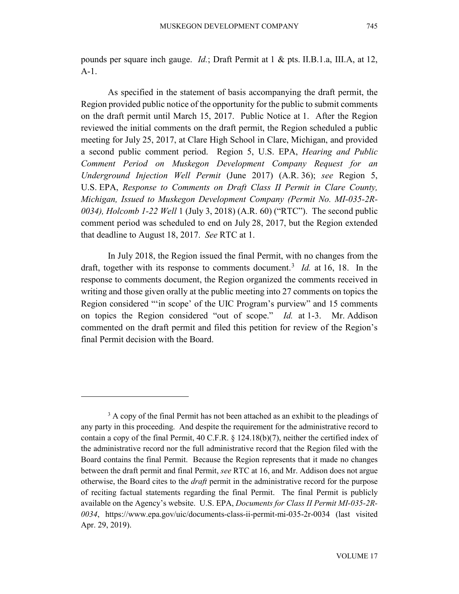pounds per square inch gauge. *Id.*; Draft Permit at 1 & pts. II.B.1.a, III.A, at 12, A-1.

As specified in the statement of basis accompanying the draft permit, the Region provided public notice of the opportunity for the public to submit comments on the draft permit until March 15, 2017. Public Notice at 1. After the Region reviewed the initial comments on the draft permit, the Region scheduled a public meeting for July 25, 2017, at Clare High School in Clare, Michigan, and provided a second public comment period. Region 5, U.S. EPA, *Hearing and Public Comment Period on Muskegon Development Company Request for an Underground Injection Well Permit* (June 2017) (A.R. 36); *see* Region 5, U.S. EPA, *Response to Comments on Draft Class II Permit in Clare County, Michigan, Issued to Muskegon Development Company (Permit No. MI-035-2R-0034), Holcomb 1-22 Well* 1 (July 3, 2018) (A.R. 60) ("RTC"). The second public comment period was scheduled to end on July 28, 2017, but the Region extended that deadline to August 18, 2017. *See* RTC at 1.

In July 2018, the Region issued the final Permit, with no changes from the draft, together with its response to comments document.<sup>[3](#page-5-0)</sup> *Id.* at 16, 18. In the response to comments document, the Region organized the comments received in writing and those given orally at the public meeting into 27 comments on topics the Region considered "'in scope' of the UIC Program's purview" and 15 comments on topics the Region considered "out of scope." *Id.* at 1-3. Mr. Addison commented on the draft permit and filed this petition for review of the Region's final Permit decision with the Board.

<span id="page-5-0"></span><sup>&</sup>lt;sup>3</sup> A copy of the final Permit has not been attached as an exhibit to the pleadings of any party in this proceeding. And despite the requirement for the administrative record to contain a copy of the final Permit, 40 C.F.R. § 124.18(b)(7), neither the certified index of the administrative record nor the full administrative record that the Region filed with the Board contains the final Permit. Because the Region represents that it made no changes between the draft permit and final Permit, *see* RTC at 16, and Mr. Addison does not argue otherwise, the Board cites to the *draft* permit in the administrative record for the purpose of reciting factual statements regarding the final Permit. The final Permit is publicly available on the Agency's website. U.S. EPA, *Documents for Class II Permit MI-035-2R-0034*, https://www.epa.gov/uic/documents-class-ii-permit-mi-035-2r-0034 (last visited Apr. 29, 2019).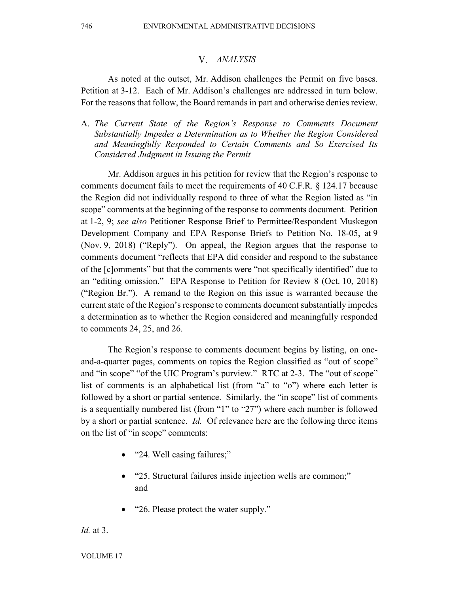#### *ANALYSIS*

As noted at the outset, Mr. Addison challenges the Permit on five bases. Petition at 3-12. Each of Mr. Addison's challenges are addressed in turn below. For the reasons that follow, the Board remands in part and otherwise denies review.

A. *The Current State of the Region's Response to Comments Document Substantially Impedes a Determination as to Whether the Region Considered and Meaningfully Responded to Certain Comments and So Exercised Its Considered Judgment in Issuing the Permit*

Mr. Addison argues in his petition for review that the Region's response to comments document fails to meet the requirements of 40 C.F.R. § 124.17 because the Region did not individually respond to three of what the Region listed as "in scope" comments at the beginning of the response to comments document. Petition at 1-2, 9; *see also* Petitioner Response Brief to Permittee/Respondent Muskegon Development Company and EPA Response Briefs to Petition No. 18-05, at 9 (Nov. 9, 2018) ("Reply"). On appeal, the Region argues that the response to comments document "reflects that EPA did consider and respond to the substance of the [c]omments" but that the comments were "not specifically identified" due to an "editing omission." EPA Response to Petition for Review 8 (Oct. 10, 2018) ("Region Br."). A remand to the Region on this issue is warranted because the current state of the Region's response to comments document substantially impedes a determination as to whether the Region considered and meaningfully responded to comments 24, 25, and 26.

The Region's response to comments document begins by listing, on oneand-a-quarter pages, comments on topics the Region classified as "out of scope" and "in scope" "of the UIC Program's purview." RTC at 2-3. The "out of scope" list of comments is an alphabetical list (from "a" to "o") where each letter is followed by a short or partial sentence. Similarly, the "in scope" list of comments is a sequentially numbered list (from "1" to "27") where each number is followed by a short or partial sentence. *Id.* Of relevance here are the following three items on the list of "in scope" comments:

- "24. Well casing failures;"
- "25. Structural failures inside injection wells are common;" and
- "26. Please protect the water supply."

*Id.* at 3.

VOLUME 17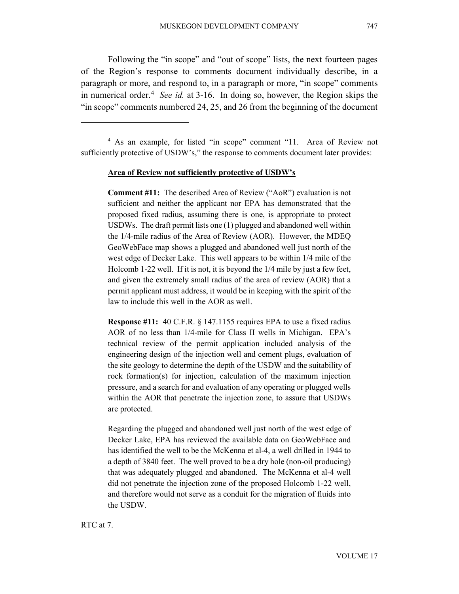Following the "in scope" and "out of scope" lists, the next fourteen pages of the Region's response to comments document individually describe, in a paragraph or more, and respond to, in a paragraph or more, "in scope" comments in numerical order.<sup>[4](#page-7-0)</sup> See id. at 3-16. In doing so, however, the Region skips the "in scope" comments numbered 24, 25, and 26 from the beginning of the document

<span id="page-7-0"></span><sup>4</sup> As an example, for listed "in scope" comment "11. Area of Review not sufficiently protective of USDW's," the response to comments document later provides:

#### **Area of Review not sufficiently protective of USDW's**

**Comment #11:** The described Area of Review ("AoR") evaluation is not sufficient and neither the applicant nor EPA has demonstrated that the proposed fixed radius, assuming there is one, is appropriate to protect USDWs. The draft permit lists one (1) plugged and abandoned well within the 1/4-mile radius of the Area of Review (AOR). However, the MDEQ GeoWebFace map shows a plugged and abandoned well just north of the west edge of Decker Lake. This well appears to be within 1/4 mile of the Holcomb 1-22 well. If it is not, it is beyond the 1/4 mile by just a few feet, and given the extremely small radius of the area of review (AOR) that a permit applicant must address, it would be in keeping with the spirit of the law to include this well in the AOR as well.

**Response #11:** 40 C.F.R. § 147.1155 requires EPA to use a fixed radius AOR of no less than 1/4-mile for Class II wells in Michigan. EPA's technical review of the permit application included analysis of the engineering design of the injection well and cement plugs, evaluation of the site geology to determine the depth of the USDW and the suitability of rock formation(s) for injection, calculation of the maximum injection pressure, and a search for and evaluation of any operating or plugged wells within the AOR that penetrate the injection zone, to assure that USDWs are protected.

Regarding the plugged and abandoned well just north of the west edge of Decker Lake, EPA has reviewed the available data on GeoWebFace and has identified the well to be the McKenna et al-4, a well drilled in 1944 to a depth of 3840 feet. The well proved to be a dry hole (non-oil producing) that was adequately plugged and abandoned. The McKenna et al-4 well did not penetrate the injection zone of the proposed Holcomb 1-22 well, and therefore would not serve as a conduit for the migration of fluids into the USDW.

RTC at 7.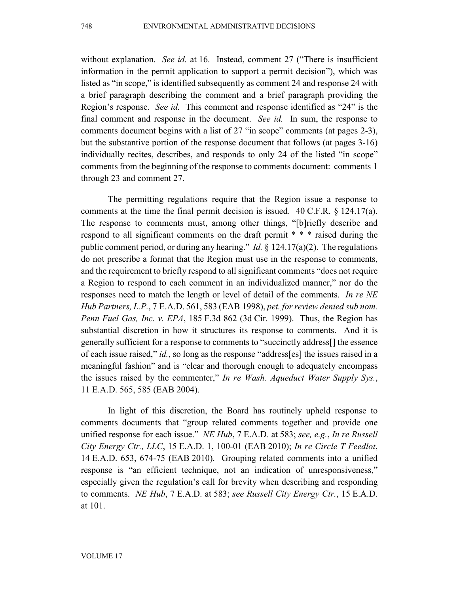without explanation. *See id.* at 16. Instead, comment 27 ("There is insufficient information in the permit application to support a permit decision"), which was listed as "in scope," is identified subsequently as comment 24 and response 24 with a brief paragraph describing the comment and a brief paragraph providing the Region's response. *See id.* This comment and response identified as "24" is the final comment and response in the document. *See id.* In sum, the response to comments document begins with a list of 27 "in scope" comments (at pages 2-3), but the substantive portion of the response document that follows (at pages 3-16) individually recites, describes, and responds to only 24 of the listed "in scope" comments from the beginning of the response to comments document: comments 1 through 23 and comment 27.

The permitting regulations require that the Region issue a response to comments at the time the final permit decision is issued. 40 C.F.R.  $\S$  124.17(a). The response to comments must, among other things, "[b]riefly describe and respond to all significant comments on the draft permit \* \* \* raised during the public comment period, or during any hearing." *Id.* § 124.17(a)(2). The regulations do not prescribe a format that the Region must use in the response to comments, and the requirement to briefly respond to all significant comments "does not require a Region to respond to each comment in an individualized manner," nor do the responses need to match the length or level of detail of the comments. *In re NE Hub Partners, L.P.*, 7 E.A.D. 561, 583 (EAB 1998), *pet. for review denied sub nom. Penn Fuel Gas, Inc. v. EPA*, 185 F.3d 862 (3d Cir. 1999). Thus, the Region has substantial discretion in how it structures its response to comments. And it is generally sufficient for a response to comments to "succinctly address[] the essence of each issue raised," *id.*, so long as the response "address[es] the issues raised in a meaningful fashion" and is "clear and thorough enough to adequately encompass the issues raised by the commenter," *In re Wash. Aqueduct Water Supply Sys.*, 11 E.A.D. 565, 585 (EAB 2004).

In light of this discretion, the Board has routinely upheld response to comments documents that "group related comments together and provide one unified response for each issue." *NE Hub*, 7 E.A.D. at 583; *see, e.g.*, *In re Russell City Energy Ctr., LLC*, 15 E.A.D. 1, 100-01 (EAB 2010); *In re Circle T Feedlot*, 14 E.A.D. 653, 674-75 (EAB 2010). Grouping related comments into a unified response is "an efficient technique, not an indication of unresponsiveness," especially given the regulation's call for brevity when describing and responding to comments. *NE Hub*, 7 E.A.D. at 583; *see Russell City Energy Ctr.*, 15 E.A.D. at 101.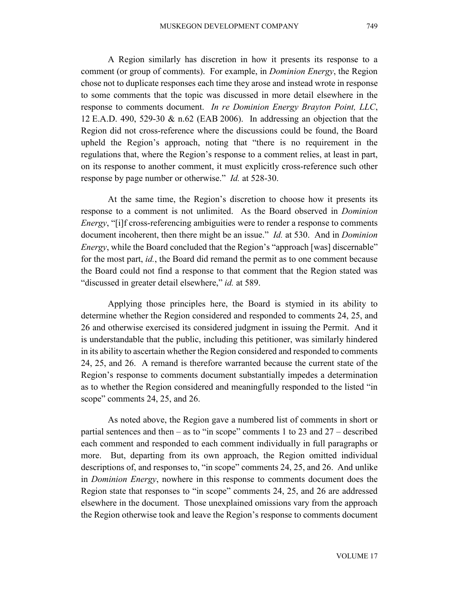A Region similarly has discretion in how it presents its response to a comment (or group of comments). For example, in *Dominion Energy*, the Region chose not to duplicate responses each time they arose and instead wrote in response to some comments that the topic was discussed in more detail elsewhere in the response to comments document. *In re Dominion Energy Brayton Point, LLC*, 12 E.A.D. 490, 529-30 & n.62 (EAB 2006). In addressing an objection that the Region did not cross-reference where the discussions could be found, the Board upheld the Region's approach, noting that "there is no requirement in the regulations that, where the Region's response to a comment relies, at least in part, on its response to another comment, it must explicitly cross-reference such other response by page number or otherwise." *Id.* at 528-30.

At the same time, the Region's discretion to choose how it presents its response to a comment is not unlimited. As the Board observed in *Dominion Energy*, "[i]f cross-referencing ambiguities were to render a response to comments document incoherent, then there might be an issue." *Id.* at 530.And in *Dominion Energy*, while the Board concluded that the Region's "approach [was] discernable" for the most part, *id.*, the Board did remand the permit as to one comment because the Board could not find a response to that comment that the Region stated was "discussed in greater detail elsewhere," *id.* at 589.

Applying those principles here, the Board is stymied in its ability to determine whether the Region considered and responded to comments 24, 25, and 26 and otherwise exercised its considered judgment in issuing the Permit. And it is understandable that the public, including this petitioner, was similarly hindered in its ability to ascertain whether the Region considered and responded to comments 24, 25, and 26. A remand is therefore warranted because the current state of the Region's response to comments document substantially impedes a determination as to whether the Region considered and meaningfully responded to the listed "in scope" comments 24, 25, and 26.

As noted above, the Region gave a numbered list of comments in short or partial sentences and then – as to "in scope" comments 1 to 23 and 27 – described each comment and responded to each comment individually in full paragraphs or more. But, departing from its own approach, the Region omitted individual descriptions of, and responses to, "in scope" comments 24, 25, and 26. And unlike in *Dominion Energy*, nowhere in this response to comments document does the Region state that responses to "in scope" comments 24, 25, and 26 are addressed elsewhere in the document. Those unexplained omissions vary from the approach the Region otherwise took and leave the Region's response to comments document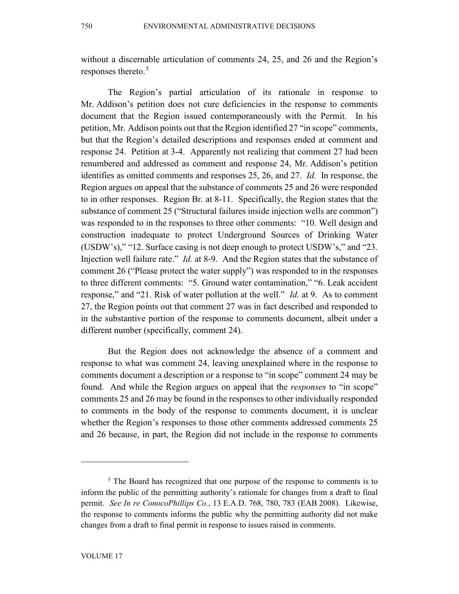without a discernable articulation of comments 24, 25, and 26 and the Region's responses thereto. [5](#page-10-0)

The Region's partial articulation of its rationale in response to Mr. Addison's petition does not cure deficiencies in the response to comments document that the Region issued contemporaneously with the Permit. In his petition, Mr. Addison points out that the Region identified 27 "in scope" comments, but that the Region's detailed descriptions and responses ended at comment and response 24. Petition at 3-4. Apparently not realizing that comment 27 had been renumbered and addressed as comment and response 24, Mr. Addison's petition identifies as omitted comments and responses 25, 26, and 27. *Id.* In response, the Region argues on appeal that the substance of comments 25 and 26 were responded to in other responses. Region Br. at 8-11. Specifically, the Region states that the substance of comment 25 ("Structural failures inside injection wells are common") was responded to in the responses to three other comments: "10. Well design and construction inadequate to protect Underground Sources of Drinking Water (USDW's)," "12. Surface casing is not deep enough to protect USDW's," and "23. Injection well failure rate." *Id.* at 8-9. And the Region states that the substance of comment 26 ("Please protect the water supply") was responded to in the responses to three different comments: "5. Ground water contamination," "6. Leak accident response," and "21. Risk of water pollution at the well." *Id.* at 9. As to comment 27, the Region points out that comment 27 was in fact described and responded to in the substantive portion of the response to comments document, albeit under a different number (specifically, comment 24).

But the Region does not acknowledge the absence of a comment and response to what was comment 24, leaving unexplained where in the response to comments document a description or a response to "in scope" comment 24 may be found. And while the Region argues on appeal that the *responses* to "in scope" comments 25 and 26 may be found in the responses to other individually responded to comments in the body of the response to comments document, it is unclear whether the Region's responses to those other comments addressed comments 25 and 26 because, in part, the Region did not include in the response to comments

<span id="page-10-0"></span><sup>&</sup>lt;sup>5</sup> The Board has recognized that one purpose of the response to comments is to inform the public of the permitting authority's rationale for changes from a draft to final permit. *See In re ConocoPhillips Co.*, 13 E.A.D. 768, 780, 783 (EAB 2008). Likewise, the response to comments informs the public why the permitting authority did not make changes from a draft to final permit in response to issues raised in comments.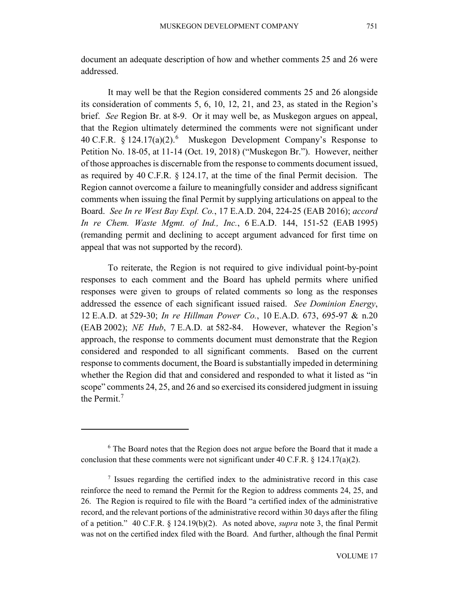document an adequate description of how and whether comments 25 and 26 were addressed.

It may well be that the Region considered comments 25 and 26 alongside its consideration of comments 5, 6, 10, 12, 21, and 23, as stated in the Region's brief. *See* Region Br. at 8-9. Or it may well be, as Muskegon argues on appeal, that the Region ultimately determined the comments were not significant under 40 C.F.R.  $\S 124.17(a)(2)$ .<sup>[6](#page-11-0)</sup> Muskegon Development Company's Response to Petition No. 18-05, at 11-14 (Oct. 19, 2018) ("Muskegon Br."). However, neither of those approaches is discernable from the response to comments document issued, as required by 40 C.F.R. § 124.17, at the time of the final Permit decision. The Region cannot overcome a failure to meaningfully consider and address significant comments when issuing the final Permit by supplying articulations on appeal to the Board. *See In re West Bay Expl. Co.*, 17 E.A.D. 204, 224-25 (EAB 2016); *accord In re Chem. Waste Mgmt. of Ind., Inc.*, 6 E.A.D. 144, 151-52 (EAB 1995) (remanding permit and declining to accept argument advanced for first time on appeal that was not supported by the record).

To reiterate, the Region is not required to give individual point-by-point responses to each comment and the Board has upheld permits where unified responses were given to groups of related comments so long as the responses addressed the essence of each significant issued raised. *See Dominion Energy*, 12 E.A.D. at 529-30; *In re Hillman Power Co.*, 10 E.A.D. 673, 695-97 & n.20 (EAB 2002); *NE Hub*, 7 E.A.D. at 582-84. However, whatever the Region's approach, the response to comments document must demonstrate that the Region considered and responded to all significant comments. Based on the current response to comments document, the Board is substantially impeded in determining whether the Region did that and considered and responded to what it listed as "in scope" comments 24, 25, and 26 and so exercised its considered judgment in issuing the Permit. [7](#page-11-1)

<span id="page-11-0"></span><sup>6</sup> The Board notes that the Region does not argue before the Board that it made a conclusion that these comments were not significant under 40 C.F.R. § 124.17(a)(2).

<span id="page-11-1"></span><sup>&</sup>lt;sup>7</sup> Issues regarding the certified index to the administrative record in this case reinforce the need to remand the Permit for the Region to address comments 24, 25, and 26. The Region is required to file with the Board "a certified index of the administrative record, and the relevant portions of the administrative record within 30 days after the filing of a petition." 40 C.F.R. § 124.19(b)(2). As noted above, *supra* note 3, the final Permit was not on the certified index filed with the Board. And further, although the final Permit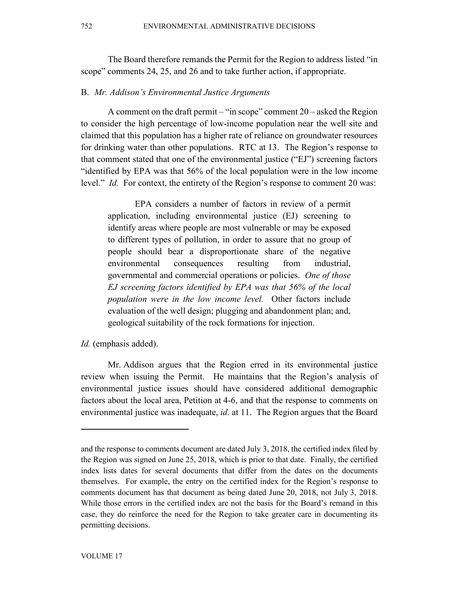The Board therefore remands the Permit for the Region to address listed "in scope" comments 24, 25, and 26 and to take further action, if appropriate.

## B. *Mr. Addison's Environmental Justice Arguments*

A comment on the draft permit – "in scope" comment  $20$  – asked the Region to consider the high percentage of low-income population near the well site and claimed that this population has a higher rate of reliance on groundwater resources for drinking water than other populations. RTC at 13. The Region's response to that comment stated that one of the environmental justice ("EJ") screening factors "identified by EPA was that 56% of the local population were in the low income level." *Id.* For context, the entirety of the Region's response to comment 20 was:

EPA considers a number of factors in review of a permit application, including environmental justice (EJ) screening to identify areas where people are most vulnerable or may be exposed to different types of pollution, in order to assure that no group of people should bear a disproportionate share of the negative environmental consequences resulting from industrial, governmental and commercial operations or policies. *One of those EJ screening factors identified by EPA was that 56% of the local population were in the low income level.* Other factors include evaluation of the well design; plugging and abandonment plan; and, geological suitability of the rock formations for injection.

*Id.* (emphasis added).

Mr. Addison argues that the Region erred in its environmental justice review when issuing the Permit. He maintains that the Region's analysis of environmental justice issues should have considered additional demographic factors about the local area, Petition at 4-6, and that the response to comments on environmental justice was inadequate, *id.* at 11. The Region argues that the Board

and the response to comments document are dated July 3, 2018, the certified index filed by the Region was signed on June 25, 2018, which is prior to that date. Finally, the certified index lists dates for several documents that differ from the dates on the documents themselves. For example, the entry on the certified index for the Region's response to comments document has that document as being dated June 20, 2018, not July 3, 2018. While those errors in the certified index are not the basis for the Board's remand in this case, they do reinforce the need for the Region to take greater care in documenting its permitting decisions.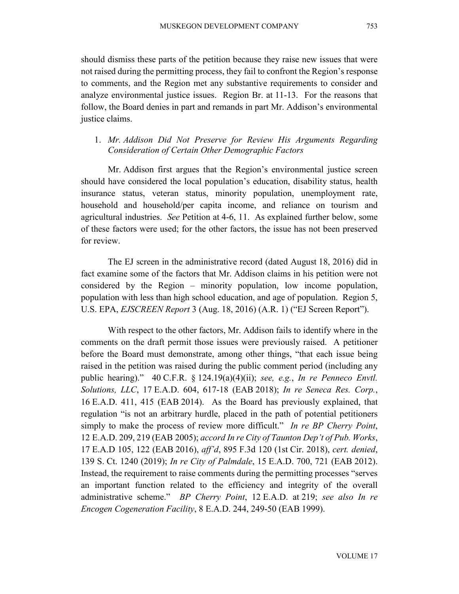should dismiss these parts of the petition because they raise new issues that were not raised during the permitting process, they fail to confront the Region's response to comments, and the Region met any substantive requirements to consider and analyze environmental justice issues. Region Br. at 11-13. For the reasons that follow, the Board denies in part and remands in part Mr. Addison's environmental justice claims.

# 1. *Mr. Addison Did Not Preserve for Review His Arguments Regarding Consideration of Certain Other Demographic Factors*

Mr. Addison first argues that the Region's environmental justice screen should have considered the local population's education, disability status, health insurance status, veteran status, minority population, unemployment rate, household and household/per capita income, and reliance on tourism and agricultural industries. *See* Petition at 4-6, 11. As explained further below, some of these factors were used; for the other factors, the issue has not been preserved for review.

The EJ screen in the administrative record (dated August 18, 2016) did in fact examine some of the factors that Mr. Addison claims in his petition were not considered by the Region – minority population, low income population, population with less than high school education, and age of population. Region 5, U.S. EPA, *EJSCREEN Report* 3 (Aug. 18, 2016) (A.R. 1) ("EJ Screen Report").

With respect to the other factors, Mr. Addison fails to identify where in the comments on the draft permit those issues were previously raised. A petitioner before the Board must demonstrate, among other things, "that each issue being raised in the petition was raised during the public comment period (including any public hearing)." 40 C.F.R. § 124.19(a)(4)(ii); *see, e.g.*, *In re Penneco Envtl. Solutions, LLC*, 17 E.A.D. 604, 617-18 (EAB 2018); *In re Seneca Res. Corp.*, 16 E.A.D. 411, 415 (EAB 2014). As the Board has previously explained, that regulation "is not an arbitrary hurdle, placed in the path of potential petitioners simply to make the process of review more difficult." *In re BP Cherry Point*, 12 E.A.D. 209, 219 (EAB 2005); *accord In re City of Taunton Dep't of Pub. Works*, 17 E.A.D 105, 122 (EAB 2016), *aff'd*, 895 F.3d 120 (1st Cir. 2018), *cert. denied*, 139 S. Ct. 1240 (2019); *In re City of Palmdale*, 15 E.A.D. 700, 721 (EAB 2012). Instead, the requirement to raise comments during the permitting processes "serves an important function related to the efficiency and integrity of the overall administrative scheme." *BP Cherry Point*, 12 E.A.D. at 219; *see also In re Encogen Cogeneration Facility*, 8 E.A.D. 244, 249-50 (EAB 1999).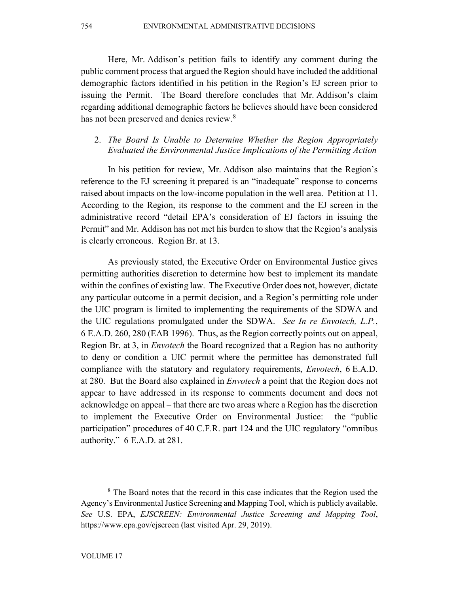754 ENVIRONMENTAL ADMINISTRATIVE DECISIONS

Here, Mr. Addison's petition fails to identify any comment during the public comment process that argued the Region should have included the additional demographic factors identified in his petition in the Region's EJ screen prior to issuing the Permit. The Board therefore concludes that Mr. Addison's claim regarding additional demographic factors he believes should have been considered has not been preserved and denies review.<sup>[8](#page-14-0)</sup>

# 2. *The Board Is Unable to Determine Whether the Region Appropriately Evaluated the Environmental Justice Implications of the Permitting Action*

In his petition for review, Mr. Addison also maintains that the Region's reference to the EJ screening it prepared is an "inadequate" response to concerns raised about impacts on the low-income population in the well area. Petition at 11. According to the Region, its response to the comment and the EJ screen in the administrative record "detail EPA's consideration of EJ factors in issuing the Permit" and Mr. Addison has not met his burden to show that the Region's analysis is clearly erroneous. Region Br. at 13.

As previously stated, the Executive Order on Environmental Justice gives permitting authorities discretion to determine how best to implement its mandate within the confines of existing law. The Executive Order does not, however, dictate any particular outcome in a permit decision, and a Region's permitting role under the UIC program is limited to implementing the requirements of the SDWA and the UIC regulations promulgated under the SDWA. *See In re Envotech, L.P.*, 6 E.A.D. 260, 280 (EAB 1996). Thus, as the Region correctly points out on appeal, Region Br. at 3, in *Envotech* the Board recognized that a Region has no authority to deny or condition a UIC permit where the permittee has demonstrated full compliance with the statutory and regulatory requirements, *Envotech*, 6 E.A.D. at 280. But the Board also explained in *Envotech* a point that the Region does not appear to have addressed in its response to comments document and does not acknowledge on appeal – that there are two areas where a Region has the discretion to implement the Executive Order on Environmental Justice: the "public participation" procedures of 40 C.F.R. part 124 and the UIC regulatory "omnibus authority." 6 E.A.D. at 281.

<span id="page-14-0"></span><sup>&</sup>lt;sup>8</sup> The Board notes that the record in this case indicates that the Region used the Agency's Environmental Justice Screening and Mapping Tool, which is publicly available. *See* U.S. EPA, *EJSCREEN: Environmental Justice Screening and Mapping Tool*, https://www.epa.gov/ejscreen (last visited Apr. 29, 2019).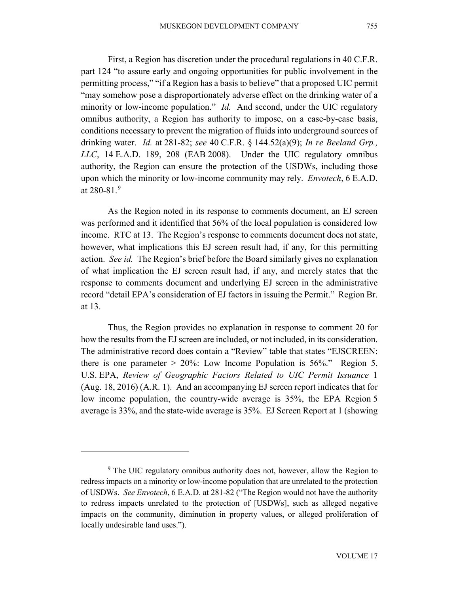First, a Region has discretion under the procedural regulations in 40 C.F.R. part 124 "to assure early and ongoing opportunities for public involvement in the permitting process," "if a Region has a basis to believe" that a proposed UIC permit "may somehow pose a disproportionately adverse effect on the drinking water of a minority or low-income population." *Id.* And second, under the UIC regulatory omnibus authority, a Region has authority to impose, on a case-by-case basis, conditions necessary to prevent the migration of fluids into underground sources of drinking water. *Id.* at 281-82; *see* 40 C.F.R. § 144.52(a)(9); *In re Beeland Grp., LLC*, 14 E.A.D. 189, 208 (EAB 2008). Under the UIC regulatory omnibus authority, the Region can ensure the protection of the USDWs, including those upon which the minority or low-income community may rely. *Envotech*, 6 E.A.D. at 280-81. $^{9}$  $^{9}$  $^{9}$ 

As the Region noted in its response to comments document, an EJ screen was performed and it identified that 56% of the local population is considered low income. RTC at 13. The Region's response to comments document does not state, however, what implications this EJ screen result had, if any, for this permitting action. *See id.* The Region's brief before the Board similarly gives no explanation of what implication the EJ screen result had, if any, and merely states that the response to comments document and underlying EJ screen in the administrative record "detail EPA's consideration of EJ factors in issuing the Permit." Region Br. at 13.

Thus, the Region provides no explanation in response to comment 20 for how the results from the EJ screen are included, or not included, in its consideration. The administrative record does contain a "Review" table that states "EJSCREEN: there is one parameter  $> 20\%$ : Low Income Population is 56%." Region 5, U.S. EPA, *Review of Geographic Factors Related to UIC Permit Issuance* 1 (Aug. 18, 2016) (A.R. 1). And an accompanying EJ screen report indicates that for low income population, the country-wide average is 35%, the EPA Region 5 average is 33%, and the state-wide average is 35%. EJ Screen Report at 1 (showing

<span id="page-15-0"></span><sup>&</sup>lt;sup>9</sup> The UIC regulatory omnibus authority does not, however, allow the Region to redress impacts on a minority or low-income population that are unrelated to the protection of USDWs. *See Envotech*, 6 E.A.D. at 281-82 ("The Region would not have the authority to redress impacts unrelated to the protection of [USDWs], such as alleged negative impacts on the community, diminution in property values, or alleged proliferation of locally undesirable land uses.").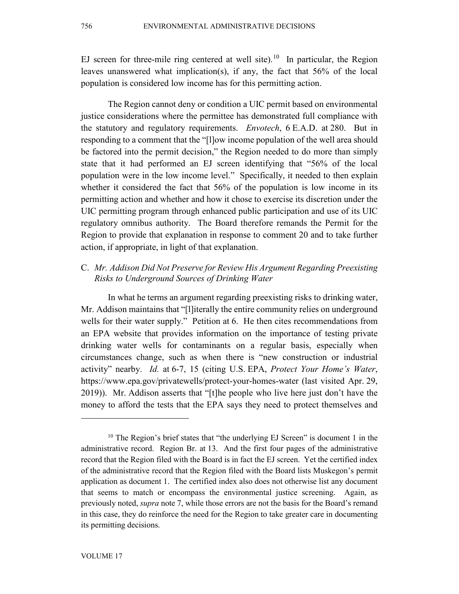EJ screen for three-mile ring centered at well site).<sup>10</sup> In particular, the Region leaves unanswered what implication(s), if any, the fact that 56% of the local population is considered low income has for this permitting action.

The Region cannot deny or condition a UIC permit based on environmental justice considerations where the permittee has demonstrated full compliance with the statutory and regulatory requirements. *Envotech*, 6 E.A.D. at 280. But in responding to a comment that the "[l]ow income population of the well area should be factored into the permit decision," the Region needed to do more than simply state that it had performed an EJ screen identifying that "56% of the local population were in the low income level." Specifically, it needed to then explain whether it considered the fact that 56% of the population is low income in its permitting action and whether and how it chose to exercise its discretion under the UIC permitting program through enhanced public participation and use of its UIC regulatory omnibus authority. The Board therefore remands the Permit for the Region to provide that explanation in response to comment 20 and to take further action, if appropriate, in light of that explanation.

# C. *Mr. Addison Did Not Preserve for Review His Argument Regarding Preexisting Risks to Underground Sources of Drinking Water*

In what he terms an argument regarding preexisting risks to drinking water, Mr. Addison maintains that "[l]iterally the entire community relies on underground wells for their water supply." Petition at 6. He then cites recommendations from an EPA website that provides information on the importance of testing private drinking water wells for contaminants on a regular basis, especially when circumstances change, such as when there is "new construction or industrial activity" nearby. *Id.* at 6-7, 15 (citing U.S. EPA, *Protect Your Home's Water*, https://www.epa.gov/privatewells/protect-your-homes-water (last visited Apr. 29, 2019)). Mr. Addison asserts that "[t]he people who live here just don't have the money to afford the tests that the EPA says they need to protect themselves and

<span id="page-16-0"></span> $10$  The Region's brief states that "the underlying EJ Screen" is document 1 in the administrative record. Region Br. at 13. And the first four pages of the administrative record that the Region filed with the Board is in fact the EJ screen. Yet the certified index of the administrative record that the Region filed with the Board lists Muskegon's permit application as document 1. The certified index also does not otherwise list any document that seems to match or encompass the environmental justice screening. Again, as previously noted, *supra* note 7, while those errors are not the basis for the Board's remand in this case, they do reinforce the need for the Region to take greater care in documenting its permitting decisions.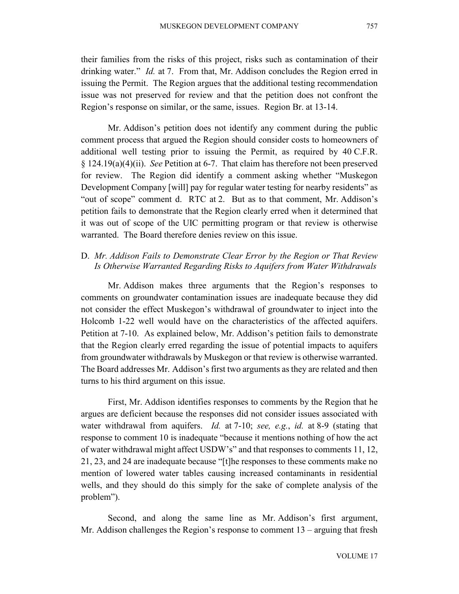their families from the risks of this project, risks such as contamination of their drinking water." *Id.* at 7. From that, Mr. Addison concludes the Region erred in issuing the Permit. The Region argues that the additional testing recommendation issue was not preserved for review and that the petition does not confront the Region's response on similar, or the same, issues. Region Br. at 13-14.

Mr. Addison's petition does not identify any comment during the public comment process that argued the Region should consider costs to homeowners of additional well testing prior to issuing the Permit, as required by 40 C.F.R. § 124.19(a)(4)(ii). *See* Petition at 6-7. That claim has therefore not been preserved for review. The Region did identify a comment asking whether "Muskegon Development Company [will] pay for regular water testing for nearby residents" as "out of scope" comment d. RTC at 2. But as to that comment, Mr. Addison's petition fails to demonstrate that the Region clearly erred when it determined that it was out of scope of the UIC permitting program or that review is otherwise warranted. The Board therefore denies review on this issue.

# D. *Mr. Addison Fails to Demonstrate Clear Error by the Region or That Review Is Otherwise Warranted Regarding Risks to Aquifers from Water Withdrawals*

Mr. Addison makes three arguments that the Region's responses to comments on groundwater contamination issues are inadequate because they did not consider the effect Muskegon's withdrawal of groundwater to inject into the Holcomb 1-22 well would have on the characteristics of the affected aquifers. Petition at 7-10. As explained below, Mr. Addison's petition fails to demonstrate that the Region clearly erred regarding the issue of potential impacts to aquifers from groundwater withdrawals by Muskegon or that review is otherwise warranted. The Board addresses Mr. Addison's first two arguments as they are related and then turns to his third argument on this issue.

First, Mr. Addison identifies responses to comments by the Region that he argues are deficient because the responses did not consider issues associated with water withdrawal from aquifers. *Id.* at 7-10; *see, e.g.*, *id.* at 8-9 (stating that response to comment 10 is inadequate "because it mentions nothing of how the act of water withdrawal might affect USDW's" and that responses to comments 11, 12, 21, 23, and 24 are inadequate because "[t]he responses to these comments make no mention of lowered water tables causing increased contaminants in residential wells, and they should do this simply for the sake of complete analysis of the problem").

Second, and along the same line as Mr. Addison's first argument, Mr. Addison challenges the Region's response to comment 13 – arguing that fresh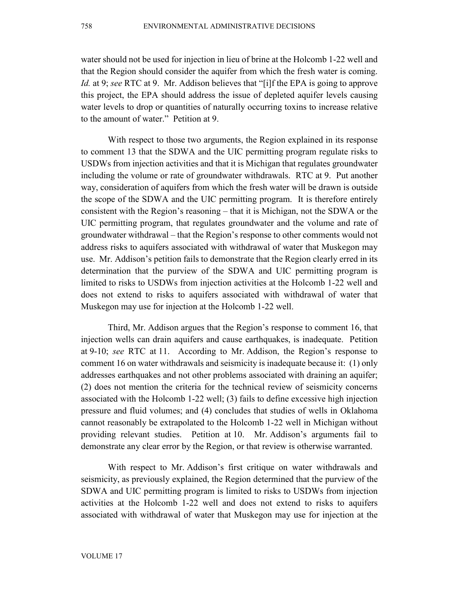water should not be used for injection in lieu of brine at the Holcomb 1-22 well and that the Region should consider the aquifer from which the fresh water is coming. *Id.* at 9; *see* RTC at 9. Mr. Addison believes that "[i]f the EPA is going to approve this project, the EPA should address the issue of depleted aquifer levels causing water levels to drop or quantities of naturally occurring toxins to increase relative to the amount of water." Petition at 9.

With respect to those two arguments, the Region explained in its response to comment 13 that the SDWA and the UIC permitting program regulate risks to USDWs from injection activities and that it is Michigan that regulates groundwater including the volume or rate of groundwater withdrawals. RTC at 9. Put another way, consideration of aquifers from which the fresh water will be drawn is outside the scope of the SDWA and the UIC permitting program. It is therefore entirely consistent with the Region's reasoning – that it is Michigan, not the SDWA or the UIC permitting program, that regulates groundwater and the volume and rate of groundwater withdrawal – that the Region's response to other comments would not address risks to aquifers associated with withdrawal of water that Muskegon may use. Mr. Addison's petition fails to demonstrate that the Region clearly erred in its determination that the purview of the SDWA and UIC permitting program is limited to risks to USDWs from injection activities at the Holcomb 1-22 well and does not extend to risks to aquifers associated with withdrawal of water that Muskegon may use for injection at the Holcomb 1-22 well.

Third, Mr. Addison argues that the Region's response to comment 16, that injection wells can drain aquifers and cause earthquakes, is inadequate. Petition at 9-10; *see* RTC at 11. According to Mr. Addison, the Region's response to comment 16 on water withdrawals and seismicity is inadequate because it: (1) only addresses earthquakes and not other problems associated with draining an aquifer; (2) does not mention the criteria for the technical review of seismicity concerns associated with the Holcomb 1-22 well; (3) fails to define excessive high injection pressure and fluid volumes; and (4) concludes that studies of wells in Oklahoma cannot reasonably be extrapolated to the Holcomb 1-22 well in Michigan without providing relevant studies. Petition at 10. Mr. Addison's arguments fail to demonstrate any clear error by the Region, or that review is otherwise warranted.

With respect to Mr. Addison's first critique on water withdrawals and seismicity, as previously explained, the Region determined that the purview of the SDWA and UIC permitting program is limited to risks to USDWs from injection activities at the Holcomb 1-22 well and does not extend to risks to aquifers associated with withdrawal of water that Muskegon may use for injection at the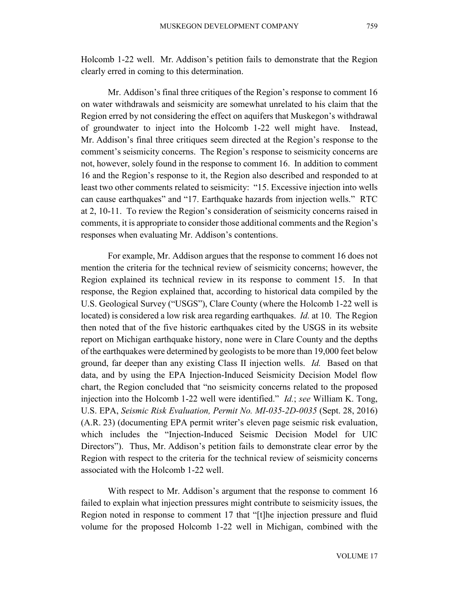Holcomb 1-22 well. Mr. Addison's petition fails to demonstrate that the Region clearly erred in coming to this determination.

Mr. Addison's final three critiques of the Region's response to comment 16 on water withdrawals and seismicity are somewhat unrelated to his claim that the Region erred by not considering the effect on aquifers that Muskegon's withdrawal of groundwater to inject into the Holcomb 1-22 well might have. Instead, Mr. Addison's final three critiques seem directed at the Region's response to the comment's seismicity concerns. The Region's response to seismicity concerns are not, however, solely found in the response to comment 16. In addition to comment 16 and the Region's response to it, the Region also described and responded to at least two other comments related to seismicity: "15. Excessive injection into wells can cause earthquakes" and "17. Earthquake hazards from injection wells." RTC at 2, 10-11. To review the Region's consideration of seismicity concerns raised in comments, it is appropriate to consider those additional comments and the Region's responses when evaluating Mr. Addison's contentions.

For example, Mr. Addison argues that the response to comment 16 does not mention the criteria for the technical review of seismicity concerns; however, the Region explained its technical review in its response to comment 15. In that response, the Region explained that, according to historical data compiled by the U.S. Geological Survey ("USGS"), Clare County (where the Holcomb 1-22 well is located) is considered a low risk area regarding earthquakes. *Id.* at 10. The Region then noted that of the five historic earthquakes cited by the USGS in its website report on Michigan earthquake history, none were in Clare County and the depths of the earthquakes were determined by geologists to be more than 19,000 feet below ground, far deeper than any existing Class II injection wells. *Id.* Based on that data, and by using the EPA Injection-Induced Seismicity Decision Model flow chart, the Region concluded that "no seismicity concerns related to the proposed injection into the Holcomb 1-22 well were identified." *Id.*; *see* William K. Tong, U.S. EPA, *Seismic Risk Evaluation, Permit No. MI-035-2D-0035* (Sept. 28, 2016) (A.R. 23) (documenting EPA permit writer's eleven page seismic risk evaluation, which includes the "Injection-Induced Seismic Decision Model for UIC Directors"). Thus, Mr. Addison's petition fails to demonstrate clear error by the Region with respect to the criteria for the technical review of seismicity concerns associated with the Holcomb 1-22 well.

With respect to Mr. Addison's argument that the response to comment 16 failed to explain what injection pressures might contribute to seismicity issues, the Region noted in response to comment 17 that "[t]he injection pressure and fluid volume for the proposed Holcomb 1-22 well in Michigan, combined with the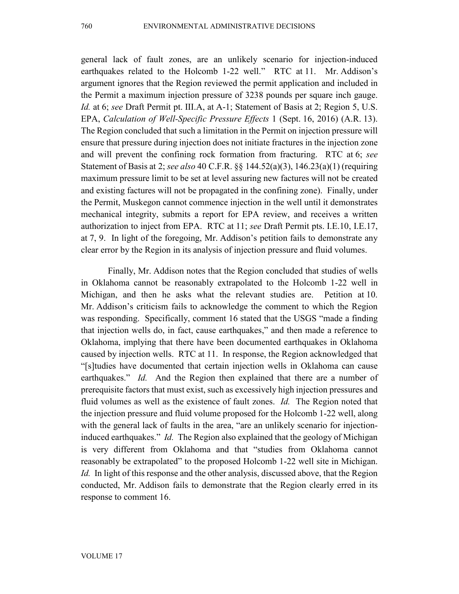general lack of fault zones, are an unlikely scenario for injection-induced earthquakes related to the Holcomb 1-22 well." RTC at 11. Mr. Addison's argument ignores that the Region reviewed the permit application and included in the Permit a maximum injection pressure of 3238 pounds per square inch gauge. *Id.* at 6; *see* Draft Permit pt. III.A, at A-1; Statement of Basis at 2; Region 5, U.S. EPA, *Calculation of Well-Specific Pressure Effects* 1 (Sept. 16, 2016) (A.R. 13). The Region concluded that such a limitation in the Permit on injection pressure will ensure that pressure during injection does not initiate fractures in the injection zone and will prevent the confining rock formation from fracturing. RTC at 6; *see*  Statement of Basis at 2; *see also* 40 C.F.R. §§ 144.52(a)(3), 146.23(a)(1) (requiring maximum pressure limit to be set at level assuring new factures will not be created

and existing factures will not be propagated in the confining zone). Finally, under the Permit, Muskegon cannot commence injection in the well until it demonstrates mechanical integrity, submits a report for EPA review, and receives a written authorization to inject from EPA. RTC at 11; *see* Draft Permit pts. I.E.10, I.E.17, at 7, 9. In light of the foregoing, Mr. Addison's petition fails to demonstrate any

clear error by the Region in its analysis of injection pressure and fluid volumes. Finally, Mr. Addison notes that the Region concluded that studies of wells in Oklahoma cannot be reasonably extrapolated to the Holcomb 1-22 well in Michigan, and then he asks what the relevant studies are. Petition at 10. Mr. Addison's criticism fails to acknowledge the comment to which the Region was responding. Specifically, comment 16 stated that the USGS "made a finding that injection wells do, in fact, cause earthquakes," and then made a reference to Oklahoma, implying that there have been documented earthquakes in Oklahoma caused by injection wells. RTC at 11. In response, the Region acknowledged that "[s]tudies have documented that certain injection wells in Oklahoma can cause earthquakes." *Id.* And the Region then explained that there are a number of prerequisite factors that must exist, such as excessively high injection pressures and fluid volumes as well as the existence of fault zones. *Id.* The Region noted that the injection pressure and fluid volume proposed for the Holcomb 1-22 well, along with the general lack of faults in the area, "are an unlikely scenario for injectioninduced earthquakes." *Id.* The Region also explained that the geology of Michigan is very different from Oklahoma and that "studies from Oklahoma cannot reasonably be extrapolated" to the proposed Holcomb 1-22 well site in Michigan. *Id.* In light of this response and the other analysis, discussed above, that the Region conducted, Mr. Addison fails to demonstrate that the Region clearly erred in its response to comment 16.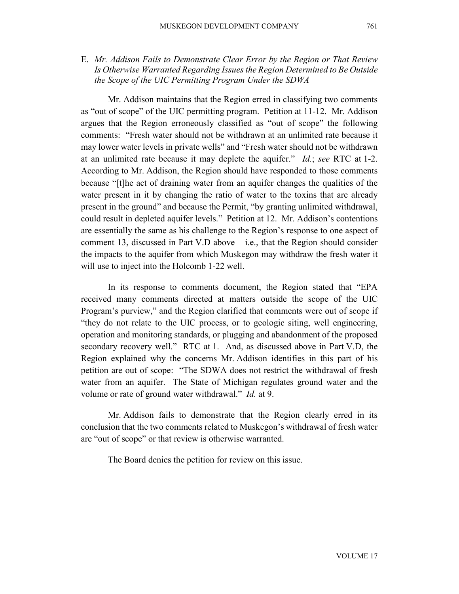*the Scope of the UIC Permitting Program Under the SDWA*

Mr. Addison maintains that the Region erred in classifying two comments as "out of scope" of the UIC permitting program. Petition at 11-12. Mr. Addison argues that the Region erroneously classified as "out of scope" the following comments: "Fresh water should not be withdrawn at an unlimited rate because it may lower water levels in private wells" and "Fresh water should not be withdrawn at an unlimited rate because it may deplete the aquifer." *Id.*; *see* RTC at 1-2. According to Mr. Addison, the Region should have responded to those comments because "[t]he act of draining water from an aquifer changes the qualities of the water present in it by changing the ratio of water to the toxins that are already present in the ground" and because the Permit, "by granting unlimited withdrawal, could result in depleted aquifer levels." Petition at 12. Mr. Addison's contentions are essentially the same as his challenge to the Region's response to one aspect of comment 13, discussed in Part V.D above – i.e., that the Region should consider the impacts to the aquifer from which Muskegon may withdraw the fresh water it will use to inject into the Holcomb 1-22 well.

In its response to comments document, the Region stated that "EPA received many comments directed at matters outside the scope of the UIC Program's purview," and the Region clarified that comments were out of scope if "they do not relate to the UIC process, or to geologic siting, well engineering, operation and monitoring standards, or plugging and abandonment of the proposed secondary recovery well." RTC at 1. And, as discussed above in Part V.D, the Region explained why the concerns Mr. Addison identifies in this part of his petition are out of scope: "The SDWA does not restrict the withdrawal of fresh water from an aquifer. The State of Michigan regulates ground water and the volume or rate of ground water withdrawal." *Id.* at 9.

Mr. Addison fails to demonstrate that the Region clearly erred in its conclusion that the two comments related to Muskegon's withdrawal of fresh water are "out of scope" or that review is otherwise warranted.

The Board denies the petition for review on this issue.